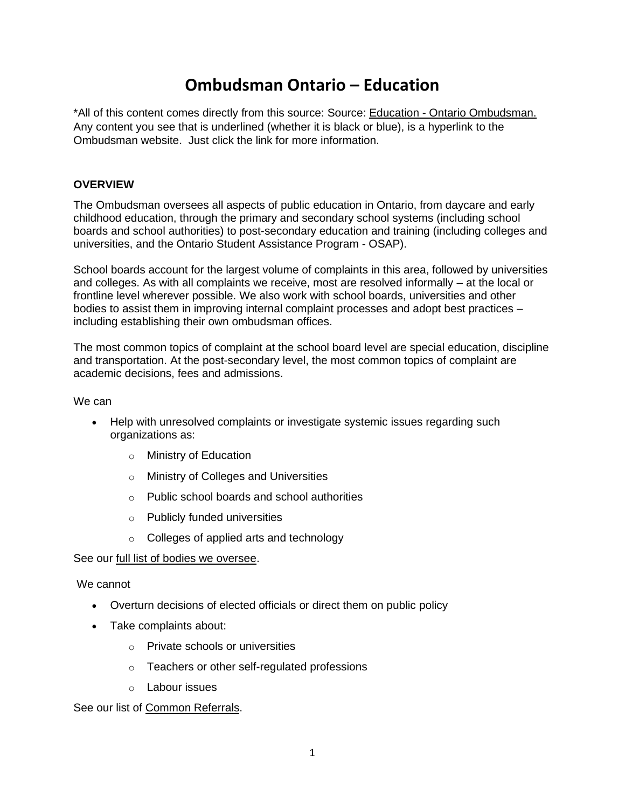## **Ombudsman Ontario – Education**

\*All of this content comes directly from this source: Source: Education - Ontario Ombudsman. Any content you see that is underlined (whether it is black or blue), is a hyperlink to the Ombudsman website. Just click the link for more information.

## **OVERVIEW**

The Ombudsman oversees all aspects of public education in Ontario, from daycare and early childhood education, through the primary and secondary school systems (including school boards and school authorities) to post-secondary education and training (including colleges and universities, and the Ontario Student Assistance Program - OSAP).

School boards account for the largest volume of complaints in this area, followed by universities and colleges. As with all complaints we receive, most are resolved informally – at the local or frontline level wherever possible. We also work with school boards, universities and other bodies to assist them in improving internal complaint processes and adopt best practices – including establishing their own ombudsman offices.

The most common topics of complaint at the school board level are special education, discipline and transportation. At the post-secondary level, the most common topics of complaint are academic decisions, fees and admissions.

We can

- Help with unresolved complaints or investigate systemic issues regarding such organizations as:
	- o Ministry of Education
	- o Ministry of Colleges and Universities
	- o Public school boards and school authorities
	- o Publicly funded universities
	- o Colleges of applied arts and technology

See our full list of bodies we oversee.

We cannot

- Overturn decisions of elected officials or direct them on public policy
- Take complaints about:
	- o Private schools or universities
	- o Teachers or other self-regulated professions
	- o Labour issues

See our list of Common Referrals.